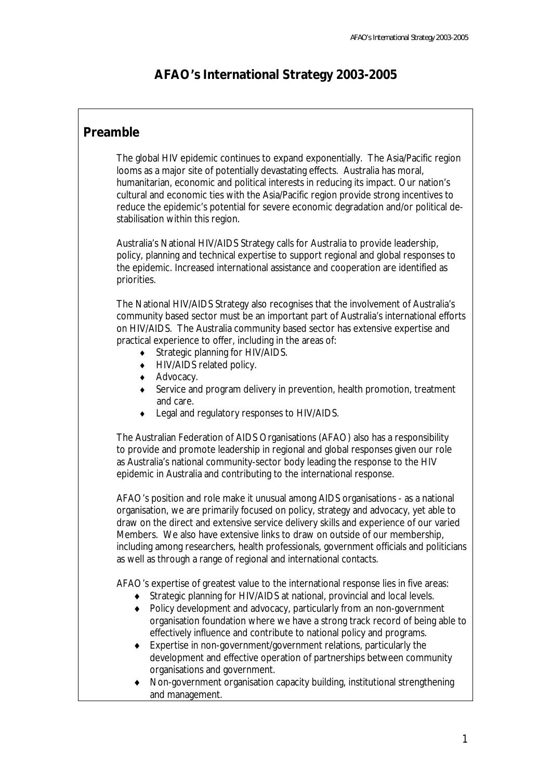# **AFAO's International Strategy 2003-2005**

### **Preamble**

The global HIV epidemic continues to expand exponentially. The Asia/Pacific region looms as a major site of potentially devastating effects. Australia has moral, humanitarian, economic and political interests in reducing its impact. Our nation's cultural and economic ties with the Asia/Pacific region provide strong incentives to reduce the epidemic's potential for severe economic degradation and/or political destabilisation within this region.

Australia's National HIV/AIDS Strategy calls for Australia to provide leadership, policy, planning and technical expertise to support regional and global responses to the epidemic. Increased international assistance and cooperation are identified as priorities.

The National HIV/AIDS Strategy also recognises that the involvement of Australia's community based sector must be an important part of Australia's international efforts on HIV/AIDS. The Australia community based sector has extensive expertise and practical experience to offer, including in the areas of:

- ♦ Strategic planning for HIV/AIDS.
- ♦ HIV/AIDS related policy.
- ♦ Advocacy.
- ♦ Service and program delivery in prevention, health promotion, treatment and care.
- ♦ Legal and regulatory responses to HIV/AIDS.

The Australian Federation of AIDS Organisations (AFAO) also has a responsibility to provide and promote leadership in regional and global responses given our role as Australia's national community-sector body leading the response to the HIV epidemic in Australia and contributing to the international response.

AFAO's position and role make it unusual among AIDS organisations - as a national organisation, we are primarily focused on policy, strategy and advocacy, yet able to draw on the direct and extensive service delivery skills and experience of our varied Members. We also have extensive links to draw on outside of our membership, including among researchers, health professionals, government officials and politicians as well as through a range of regional and international contacts.

AFAO's expertise of greatest value to the international response lies in five areas:

- ♦ Strategic planning for HIV/AIDS at national, provincial and local levels.
- ♦ Policy development and advocacy, particularly from an non-government organisation foundation where we have a strong track record of being able to effectively influence and contribute to national policy and programs.
- ♦ Expertise in non-government/government relations, particularly the development and effective operation of partnerships between community organisations and government.
- ♦ Non-government organisation capacity building, institutional strengthening and management.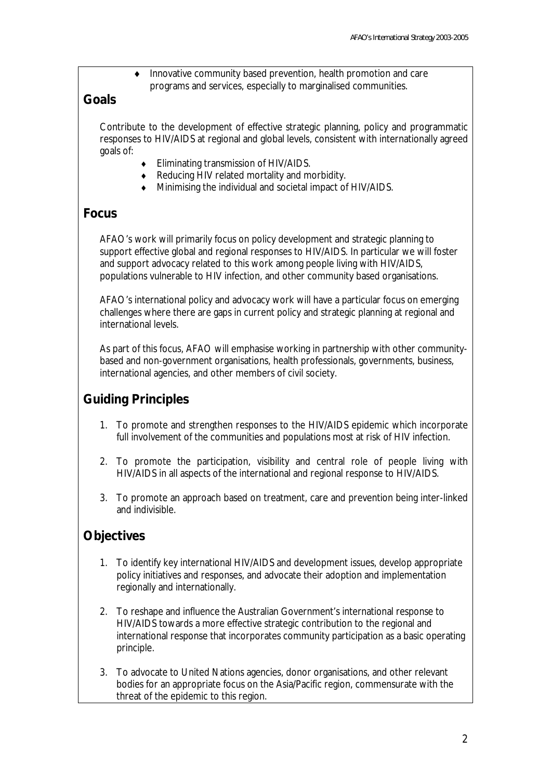♦ Innovative community based prevention, health promotion and care programs and services, especially to marginalised communities.

#### **Goals**

Contribute to the development of effective strategic planning, policy and programmatic responses to HIV/AIDS at regional and global levels, consistent with internationally agreed goals of:

- ♦ Eliminating transmission of HIV/AIDS.
- ♦ Reducing HIV related mortality and morbidity.
- ♦ Minimising the individual and societal impact of HIV/AIDS.

#### **Focus**

AFAO's work will primarily focus on policy development and strategic planning to support effective global and regional responses to HIV/AIDS. In particular we will foster and support advocacy related to this work among people living with HIV/AIDS, populations vulnerable to HIV infection, and other community based organisations.

AFAO's international policy and advocacy work will have a particular focus on emerging challenges where there are gaps in current policy and strategic planning at regional and international levels.

As part of this focus, AFAO will emphasise working in partnership with other communitybased and non-government organisations, health professionals, governments, business, international agencies, and other members of civil society.

# **Guiding Principles**

- 1. To promote and strengthen responses to the HIV/AIDS epidemic which incorporate full involvement of the communities and populations most at risk of HIV infection.
- 2. To promote the participation, visibility and central role of people living with HIV/AIDS in all aspects of the international and regional response to HIV/AIDS.
- 3. To promote an approach based on treatment, care and prevention being inter-linked and indivisible.

### **Objectives**

- 1. To identify key international HIV/AIDS and development issues, develop appropriate policy initiatives and responses, and advocate their adoption and implementation regionally and internationally.
- 2. To reshape and influence the Australian Government's international response to HIV/AIDS towards a more effective strategic contribution to the regional and international response that incorporates community participation as a basic operating principle.
- 3. To advocate to United Nations agencies, donor organisations, and other relevant bodies for an appropriate focus on the Asia/Pacific region, commensurate with the threat of the epidemic to this region.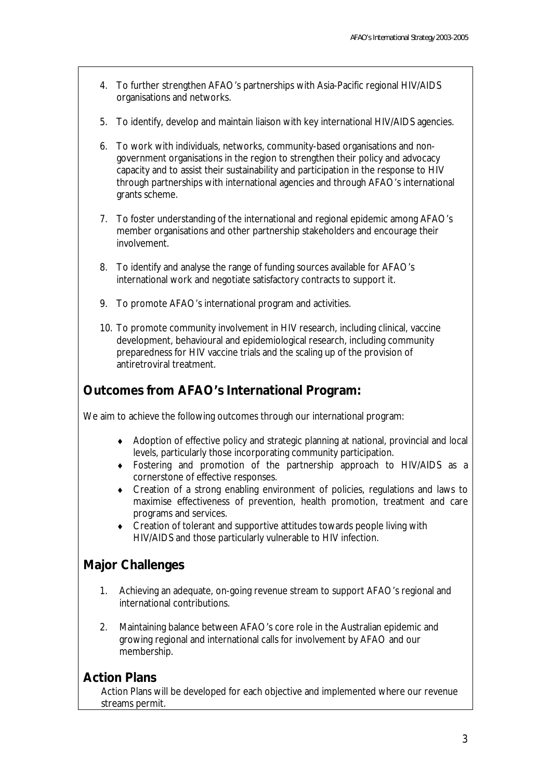- 4. To further strengthen AFAO's partnerships with Asia-Pacific regional HIV/AIDS organisations and networks.
- 5. To identify, develop and maintain liaison with key international HIV/AIDS agencies.
- 6. To work with individuals, networks, community-based organisations and nongovernment organisations in the region to strengthen their policy and advocacy capacity and to assist their sustainability and participation in the response to HIV through partnerships with international agencies and through AFAO's international grants scheme.
- 7. To foster understanding of the international and regional epidemic among AFAO's member organisations and other partnership stakeholders and encourage their involvement.
- 8. To identify and analyse the range of funding sources available for AFAO's international work and negotiate satisfactory contracts to support it.
- 9. To promote AFAO's international program and activities.
- 10. To promote community involvement in HIV research, including clinical, vaccine development, behavioural and epidemiological research, including community preparedness for HIV vaccine trials and the scaling up of the provision of antiretroviral treatment.

### **Outcomes from AFAO's International Program:**

We aim to achieve the following outcomes through our international program:

- ♦ Adoption of effective policy and strategic planning at national, provincial and local levels, particularly those incorporating community participation.
- ♦ Fostering and promotion of the partnership approach to HIV/AIDS as a cornerstone of effective responses.
- ♦ Creation of a strong enabling environment of policies, regulations and laws to maximise effectiveness of prevention, health promotion, treatment and care programs and services.
- ♦ Creation of tolerant and supportive attitudes towards people living with HIV/AIDS and those particularly vulnerable to HIV infection.

### **Major Challenges**

- 1. Achieving an adequate, on-going revenue stream to support AFAO's regional and international contributions.
- 2. Maintaining balance between AFAO's core role in the Australian epidemic and growing regional and international calls for involvement by AFAO and our membership.

#### **Action Plans**

 Action Plans will be developed for each objective and implemented where our revenue streams permit.